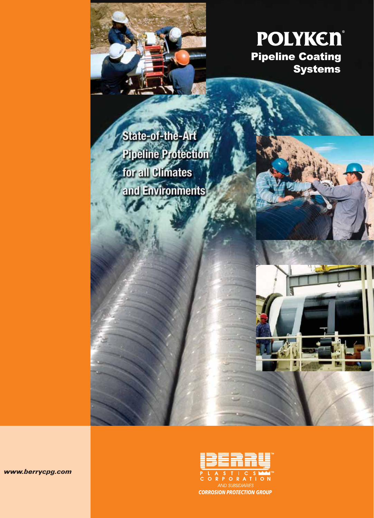



State-of-the-Art **Pipeline Protection** for all Climates and Environments

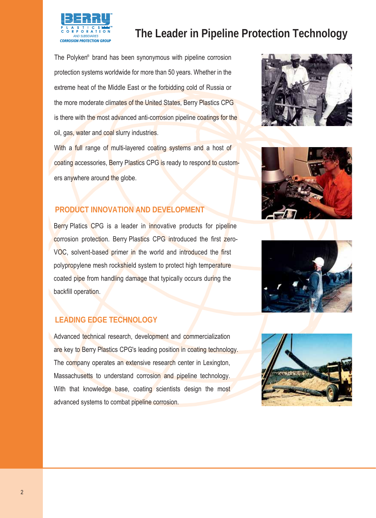The Polyken<sup>®</sup> brand has been synonymous with pipeline corrosion protection systems worldwide for more than 50 years. Whether in the extreme heat of the Middle East or the forbidding cold of Russia or the more moderate climates of the United States, Berry Plastics CPG is there with the most advanced anti-corrosion pipeline coatings for the oil, gas, water and coal slurry industries.

With a full range of multi-layered coating systems and a host of coating accessories, Berry Plastics CPG is ready to respond to customers anywhere around the globe.

## **PRODUCT INNOVATION AND DEVELOPMENT**

Berry Platics CPG is a leader in innovative products for pipeline corrosion protection. Berry Plastics CPG introduced the first zero-VOC, solvent-based primer in the world and introduced the first polypropylene mesh rockshield system to protect high temperature coated pipe from handling damage that typically occurs during the backfill operation.

## **LEADING EDGE TECHNOLOGY**

Advanced technical research, development and commercialization are key to Berry Plastics CPG's leading position in coating technology. The company operates an extensive research center in Lexington, Massachusetts to understand corrosion and pipeline technology. With that knowledge base, coating scientists design the most advanced systems to combat pipeline corrosion.







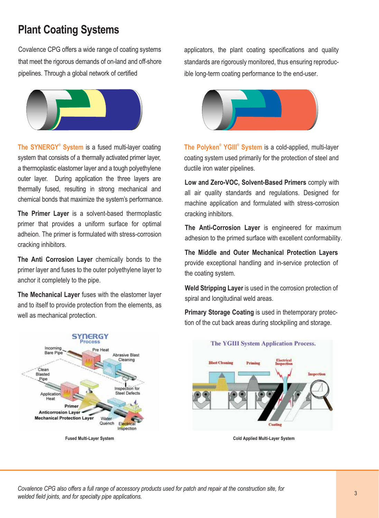# **Plant Coating Systems**

Covalence CPG offers a wide range of coating systems that meet the rigorous demands of on-land and off-shore pipelines. Through a global network of certified



The SYNERGY<sup>®</sup> System is a fused multi-layer coating system that consists of a thermally activated primer layer. a thermoplastic elastomer layer and a tough polyethylene outer layer. During application the three layers are thermally fused, resulting in strong mechanical and chemical bonds that maximize the system's performance.

The Primer Layer is a solvent-based thermoplastic primer that provides a uniform surface for optimal adheion. The primer is formulated with stress-corrosion cracking inhibitors.

The Anti Corrosion Laver chemically bonds to the primer layer and fuses to the outer polyethylene layer to anchor it completely to the pipe.

The Mechanical Layer fuses with the elastomer layer and to itself to provide protection from the elements, as well as mechanical protection.



applicators, the plant coating specifications and quality standards are rigorously monitored, thus ensuring reproducible long-term coating performance to the end-user.



The Polyken<sup>®</sup> YGIII<sup>®</sup> System is a cold-applied, multi-layer coating system used primarily for the protection of steel and ductile iron water pipelines.

Low and Zero-VOC, Solvent-Based Primers comply with all air quality standards and regulations. Designed for machine application and formulated with stress-corrosion cracking inhibitors.

The Anti-Corrosion Layer is engineered for maximum adhesion to the primed surface with excellent conformability.

The Middle and Outer Mechanical Protection Layers provide exceptional handling and in-service protection of the coating system.

Weld Stripping Layer is used in the corrosion protection of spiral and longitudinal weld areas.

Primary Storage Coating is used in the temporary protection of the cut back areas during stockpiling and storage.



**Cold Applied Multi-Layer System** 

Covalence CPG also offers a full range of accessory products used for patch and repair at the construction site, for welded field joints, and for specialty pipe applications.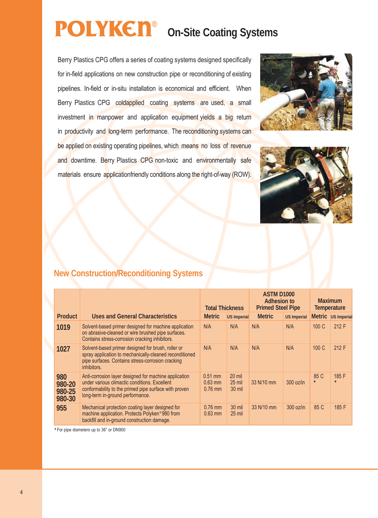# **On-Site Coating Systems** ®

Berry Plastics CPG offers a series of coating systems designed specifically for in-field applications on new construction pipe or reconditioning of existing pipelines. In-field or in-situ installation is economical and efficient. When Berry Plastics CPG coldapplied coating systems are used, a small investment in manpower and application equipment yields a big return in productivity and long-term performance. The reconditioning systems can be applied on existing operating pipelines, which means no loss of revenue and downtime. Berry Plastics CPG non-toxic and environmentally safe materials ensure applicationfriendly conditions along the right-of-way (ROW).





# **New Construction/Reconditioning Systems**

|                                   |                                                                                                                                                                                                     | <b>Total Thickness</b>              |                                  | ASTM D <sub>1000</sub><br>Adhesion to<br><b>Primed Steel Pipe</b> |                    | <b>Maximum</b><br><b>Temperature</b> |                    |
|-----------------------------------|-----------------------------------------------------------------------------------------------------------------------------------------------------------------------------------------------------|-------------------------------------|----------------------------------|-------------------------------------------------------------------|--------------------|--------------------------------------|--------------------|
| <b>Product</b>                    | <b>Uses and General Characteristics</b>                                                                                                                                                             | <b>Metric</b>                       | US Imperial                      | <b>Metric</b>                                                     | <b>US Imperial</b> |                                      | Metric US Imperial |
| 1019                              | Solvent-based primer designed for machine application<br>on abrasive-cleaned or wire brushed pipe surfaces.<br>Contains stress-corrosion cracking inhibitors.                                       | N/A                                 | N/A                              | N/A                                                               | N/A                | 100 C                                | 212 F              |
| 1027                              | Solvent-based primer designed for brush, roller or<br>spray application to mechanically-cleaned reconditioned<br>pipe surfaces. Contains stress-corrosion cracking<br>inhibitors.                   | N/A                                 | N/A                              | N/A                                                               | N/A                | 100 C                                | 212 F              |
| 980<br>980-20<br>980-25<br>980-30 | Anti-corrosion layer designed for machine application<br>under various climactic conditions. Excellent<br>conformability to the primed pipe surface with proven<br>long-term in-ground performance. | $0.51$ mm<br>$0.63$ mm<br>$0.76$ mm | $20$ mil<br>$25$ mil<br>$30$ mil | 33 N/10 mm                                                        | 300 oz/in          | 85 C<br>$\star$                      | 185 F              |
| 955                               | Mechanical protection coating layer designed for<br>machine application. Protects Polyken®980 from<br>backfill and in-ground construction damage.                                                   | $0.76$ mm<br>$0.63$ mm              | $30$ mil<br>$25$ mil             | 33 N/10 mm                                                        | 300 oz/in          | 85 C                                 | 185 F              |

**\*** For pipe diameters up to 36" or DN900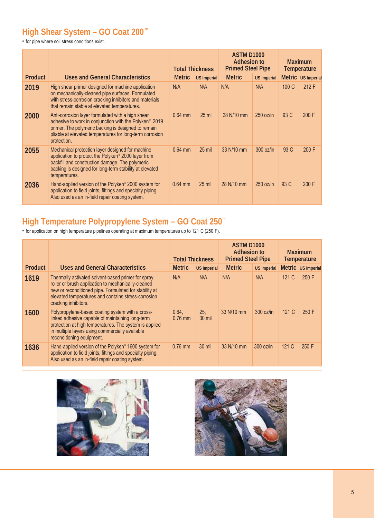# **High Shear System – GO Coat 200**™

• for pipe where soil stress conditions exist.

|                |                                                                                                                                                                                                                                                           | <b>Total Thickness</b> |             | ASTM D <sub>1000</sub><br><b>Adhesion to</b><br><b>Primed Steel Pipe</b> |                    | <b>Maximum</b><br>Temperature |                    |
|----------------|-----------------------------------------------------------------------------------------------------------------------------------------------------------------------------------------------------------------------------------------------------------|------------------------|-------------|--------------------------------------------------------------------------|--------------------|-------------------------------|--------------------|
| <b>Product</b> | Uses and General Characteristics                                                                                                                                                                                                                          | <b>Metric</b>          | US Imperial | <b>Metric</b>                                                            | <b>US Imperial</b> |                               | Metric US Imperial |
| 2019           | High shear primer designed for machine application<br>on mechanically-cleaned pipe surfaces. Formulated<br>with stress-corrosion cracking inhibitors and materials<br>that remain stable at elevated temperatures.                                        | N/A                    | N/A         | N/A                                                                      | N/A                | 100 C                         | 212 F              |
| 2000           | Anti-corrosion layer formulated with a high shear<br>adhesive to work in conjunction with the Polyken <sup>®</sup> 2019<br>primer. The polymeric backing is designed to remain<br>pliable at elevated temperatures for long-term corrosion<br>protection. | $0.64$ mm              | $25$ mil    | 28 N/10 mm                                                               | $250$ oz/in        | 93 C                          | 200 F              |
| 2055           | Mechanical protection layer designed for machine<br>application to protect the Polyken® 2000 layer from<br>backfill and construction damage. The polymeric<br>backing is designed for long-term stability at elevated<br>temperatures.                    | $0.64$ mm              | $25$ mil    | 33 N/10 mm                                                               | 300 oz/in          | 93 C                          | 200 F              |
| 2036           | Hand-applied version of the Polyken® 2000 system for<br>application to field joints, fittings and specialty piping.<br>Also used as an in-field repair coating system.                                                                                    | $0.64$ mm              | $25$ mil    | 28 N/10 mm                                                               | $250$ oz/in        | 93 C                          | 200 F              |

## **High Temperature Polypropylene System – GO Coat 250™**

• for application on high temperature pipelines operating at maximum temperatures up to 121 C (250 F).

|                |                                                                                                                                                                                                                                                     | <b>Total Thickness</b> |                 | <b>ASTM D1000</b><br><b>Adhesion to</b><br><b>Primed Steel Pipe</b> |                    |      |                    |  | <b>Maximum</b><br>Temperature |
|----------------|-----------------------------------------------------------------------------------------------------------------------------------------------------------------------------------------------------------------------------------------------------|------------------------|-----------------|---------------------------------------------------------------------|--------------------|------|--------------------|--|-------------------------------|
| <b>Product</b> | <b>Uses and General Characteristics</b>                                                                                                                                                                                                             | <b>Metric</b>          | US Imperial     | <b>Metric</b>                                                       | <b>US Imperial</b> |      | Metric US Imperial |  |                               |
| 1619           | Thermally activated solvent-based primer for spray,<br>roller or brush application to mechanically-cleaned<br>new or reconditioned pipe. Formulated for stability at<br>elevated temperatures and contains stress-corrosion<br>cracking inhibitors. | N/A                    | N/A             | N/A                                                                 | N/A                | 121C | 250 F              |  |                               |
| 1600           | Polypropylene-based coating system with a cross-<br>linked adhesive capable of maintaining long-term<br>protection at high temperatures. The system is applied<br>in multiple layers using commercially available<br>reconditioning equipment.      | 0.64.<br>$0.76$ mm     | 25,<br>$30$ mil | 33 N/10 mm                                                          | $300$ oz/in        | 121C | 250 F              |  |                               |
| 1636           | Hand-applied version of the Polyken® 1600 system for<br>application to field joints, fittings and specialty piping.<br>Also used as an in-field repair coating system.                                                                              | $0.76$ mm              | $30$ mil        | 33 N/10 mm                                                          | $300$ oz/in        | 121C | 250 F              |  |                               |



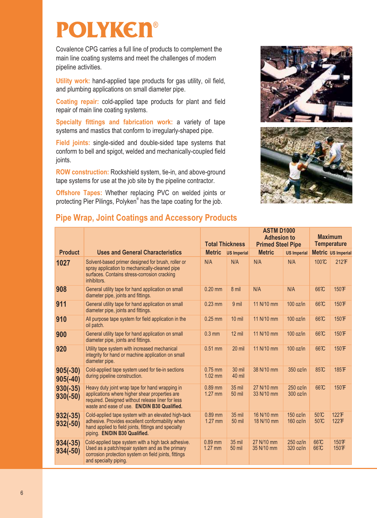# **POLYKEN®**

Covalence CPG carries a full line of products to complement the main line coating systems and meet the challenges of modern pipeline activities.

**Utility work:** hand-applied tape products for gas utility, oil field, and plumbing applications on small diameter pipe.

**Coating repair:** cold-applied tape products for plant and field repair of main line coating systems.

**Specialty fittings and fabrication work:** a variety of tape systems and mastics that conform to irregularly-shaped pipe.

**Field ioints:** single-sided and double-sided tape systems that conform to bell and spigot, welded and mechanically-coupled field joints.

**ROW construction:** Rockshield system, tie-in, and above-ground tape systems for use at the job site by the pipeline contractor.

**2Ifshore Tapes:** Whether replacing PVC on welded joints or protecting Pier Pilings, Polyken® has the tape coating for the job.





# **Pipe Wrap, Joint Coatings and Accessory Products**

|                          |                                                                                                                                                                                                        | <b>Total Thickness</b> |                                | <b>ASTM D1000</b><br><b>Adhesion to</b><br><b>Primed Steel Pipe</b> |                            | <b>Maximum</b><br><b>Temperature</b>    |                              |
|--------------------------|--------------------------------------------------------------------------------------------------------------------------------------------------------------------------------------------------------|------------------------|--------------------------------|---------------------------------------------------------------------|----------------------------|-----------------------------------------|------------------------------|
| <b>Product</b>           | <b>Uses and General Characteristics</b>                                                                                                                                                                | <b>Metric</b>          | <b>US Imperial</b>             | <b>Metric</b>                                                       | <b>US Imperial</b>         |                                         | Metric US Imperial           |
| 1027                     | Solvent-based primer designed for brush, roller or<br>spray application to mechanically-cleaned pipe<br>surfaces. Contains stress-corrosion cracking<br>inhibitors.                                    | N/A                    | N/A                            | N/A                                                                 | N/A                        | 100 <sup><math>\mathcal{X}</math></sup> | <b>2123F</b>                 |
| 908                      | General utility tape for hand application on small<br>diameter pipe, joints and fittings.                                                                                                              | $0.20$ mm              | 8 mil                          | N/A                                                                 | N/A                        | 66 <sub>7</sub> C                       | 150 下                        |
| 911                      | General utility tape for hand application on small<br>diameter pipe, joints and fittings.                                                                                                              | $0.23$ mm              | 9 mil                          | 11 N/10 mm                                                          | 100 oz/in                  | 66 <sup>7</sup>                         | 150 下                        |
| 910                      | All purpose tape system for field application in the<br>oil patch.                                                                                                                                     | $0.25$ mm              | 10 mil                         | 11 N/10 mm                                                          | 100 oz/in                  | 66 <sub>7</sub> C                       | 150 下                        |
| 900                      | General utility tape for hand application on small<br>diameter pipe, joints and fittings.                                                                                                              | $0.3$ mm               | 12 mil                         | 11 N/10 mm                                                          | 100 oz/in                  | 66 <sup>7</sup>                         | 150 下                        |
| 920                      | Utility tape system with increased mechanical<br>integrity for hand or machine application on small<br>diameter pipe.                                                                                  | $0.51$ mm              | 20 mil                         | 11 N/10 mm                                                          | 100 oz/in                  | 66 <sub>7</sub> C                       | 150 下                        |
| $905(-30)$<br>$905(-40)$ | Cold-applied tape system used for tie-in sections<br>during pipeline construction.                                                                                                                     | $0.75$ mm<br>$1.02$ mm | 30 mil<br>40 mil               | 38 N/10 mm                                                          | 350 oz/in                  | 85TC                                    | 185下                         |
| $930(-35)$<br>$930(-50)$ | Heavy duty joint wrap tape for hand wrapping in<br>applications where higher shear properties are<br>required. Designed without release liner for less<br>waste and ease of use. EN/DIN B30 Qualified. | $0.89$ mm<br>1.27 mm   | 35 mil<br><b>50 mil</b>        | 27 N/10 mm<br>33 N/10 mm                                            | $250$ oz/in<br>300 oz/in   | 66 <sup>7</sup>                         | 150 下                        |
| $932(-35)$<br>$932(-50)$ | Cold-applied tape system with an elevated high-tack<br>adhesive. Provides excellent conformability when<br>hand applied to field joints, fittings and specialty<br>piping. EN/DIN B30 Qualified.       | 0.89 mm<br>$1.27$ mm   | <b>35 mil</b><br>50 mil        | 16 N/10 mm<br>18 N/10 mm                                            | $150$ oz/in<br>$160$ oz/in | 50 <sup>2</sup><br>50 TC                | <b>1223F</b><br><b>1223F</b> |
| $934(-35)$<br>$934(-50)$ | Cold-applied tape system with a high tack adhesive.<br>Used as a patch/repair system and as the primary<br>corrosion protection system on field joints, fittings<br>and specialty piping.              | $0.89$ mm<br>$1.27$ mm | <b>35 mil</b><br><b>50 mil</b> | 27 N/10 mm<br>35 N/10 mm                                            | $250$ oz/in<br>320 oz/in   | 66 <sub>7</sub> C<br>66 <sub>7</sub> C  | 150 下<br>150 下               |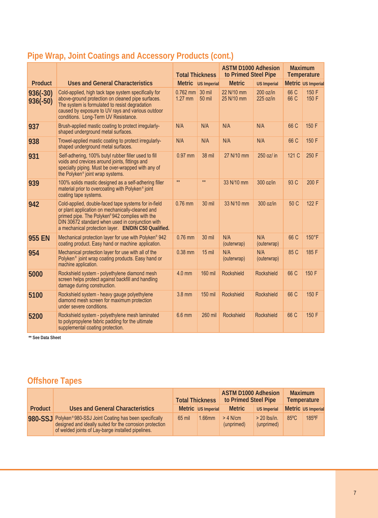|                          |                                                                                                                                                                                                                                                                        | <b>Total Thickness</b>  |                         | <b>ASTM D1000 Adhesion</b><br>to Primed Steel Pipe |                            | <b>Maximum</b><br>Temperature |                    |
|--------------------------|------------------------------------------------------------------------------------------------------------------------------------------------------------------------------------------------------------------------------------------------------------------------|-------------------------|-------------------------|----------------------------------------------------|----------------------------|-------------------------------|--------------------|
| <b>Product</b>           | <b>Uses and General Characteristics</b>                                                                                                                                                                                                                                |                         | Metric US Imperial      | <b>Metric</b>                                      | <b>US Imperial</b>         |                               | Metric US Imperial |
| $936(-30)$<br>$936(-50)$ | Cold-applied, high tack tape system specifically for<br>above-ground protection on cleaned pipe surfaces.<br>The system is formulated to resist degradation<br>caused by exposure to UV rays and various outdoor<br>conditions. Long-Term UV Resistance.               | $0.762$ mm<br>$1.27$ mm | 30 mil<br><b>50 mil</b> | 22 N/10 mm<br>25 N/10 mm                           | $200$ oz/in<br>$225$ oz/in | 66 C<br>66 C                  | 150 F<br>150 F     |
| 937                      | Brush-applied mastic coating to protect irregularly-<br>shaped underground metal surfaces.                                                                                                                                                                             | N/A                     | N/A                     | N/A                                                | N/A                        | 66 C                          | 150 F              |
| 938                      | Trowel-applied mastic coating to protect irregularly-<br>shaped underground metal surfaces.                                                                                                                                                                            | N/A                     | N/A                     | N/A                                                | N/A                        | 66 C                          | 150 F              |
| 931                      | Self-adhering, 100% butyl rubber filler used to fill<br>voids and crevices around joints, fittings and<br>specialty piping. Must be over-wrapped with any of<br>the Polyken <sup>®</sup> joint wrap systems.                                                           | 0.97 mm                 | <b>38 mil</b>           | 27 N/10 mm                                         | 250 oz/ in                 | 121 C                         | 250 F              |
| 939                      | 100% solids mastic designed as a self-adhering filler<br>material prior to overcoating with Polyken <sup>®</sup> joint<br>coating tape systems.                                                                                                                        | $**$                    | $**$                    | 33 N/10 mm                                         | 300 oz/in                  | 93 C                          | 200 F              |
| 942                      | Cold-applied, double-faced tape systems for in-field<br>or plant application on mechanically-cleaned and<br>primed pipe. The Polyken®942 complies with the<br>DIN 30672 standard when used in conjunction with<br>a mechanical protection layer. EN/DIN C50 Qualified. | $0.76$ mm               | 30 mil                  | 33 N/10 mm                                         | 300 oz/in                  | 50 C                          | 122 F              |
| <b>955 EN</b>            | Mechanical protection layer for use with Polyken® 942<br>coating product. Easy hand or machine application.                                                                                                                                                            | $0.76$ mm               | 30 mil                  | N/A<br>(outerwrap)                                 | N/A<br>(outerwrap)         | 66 C                          | 150°F              |
| 954                      | Mechanical protection layer for use with all of the<br>Polyken <sup>®</sup> joint wrap coating products. Easy hand or<br>machine application.                                                                                                                          | $0.38$ mm               | $15$ mil                | N/A<br>(outerwrap)                                 | N/A<br>(outerwrap)         | 85 C                          | 185 F              |
| 5000                     | Rockshield system - polyethylene diamond mesh<br>screen helps protect against backfill and handling<br>damage during construction.                                                                                                                                     | 4.0 mm                  | 160 mil                 | Rockshield                                         | Rockshield                 | 66 C                          | 150 F              |
| 5100                     | Rockshield system - heavy gauge polyethylene<br>diamond mesh screen for maximum protection<br>under severe conditions.                                                                                                                                                 | 3.8 mm                  | 150 mil                 | Rockshield                                         | Rockshield                 | 66 C                          | 150 F              |
| 5200                     | Rockshield system - polyethylene mesh laminated<br>to polypropylene fabric padding for the ultimate<br>supplemental coating protection.                                                                                                                                | 6.6 mm                  | 260 mil                 | <b>Rockshield</b>                                  | <b>Rockshield</b>          | 66 C                          | 150 F              |

# **Pipe Wrap, Joint Coatings and Accessory Products (cont.)**

**\*\* See Data Sheet**

# **Offshore Tapes**

|         |                                                                                                                                                                               | <b>Total Thickness</b> |                    | <b>ASTM D1000 Adhesion</b><br>to Primed Steel Pipe |                              |                |                    | Maximum | Temperature |
|---------|-------------------------------------------------------------------------------------------------------------------------------------------------------------------------------|------------------------|--------------------|----------------------------------------------------|------------------------------|----------------|--------------------|---------|-------------|
| Product | <b>Uses and General Characteristics</b>                                                                                                                                       |                        | Metric US Imperial | <b>Metric</b>                                      | US Imperial                  |                | Metric US Imperial |         |             |
|         | 980-SSJ Polyken®980-SSJ Joint Coating has been specifically<br>designed and ideally suited for the corrosion protection<br>of welded joints of Lay-barge installed pipelines. | 65 mil                 | $1.66$ mm          | $> 4$ N/cm<br>(unprimed)                           | $>$ 20 lbs/in.<br>(unprimed) | $85^{\circ}$ C | 185°F              |         |             |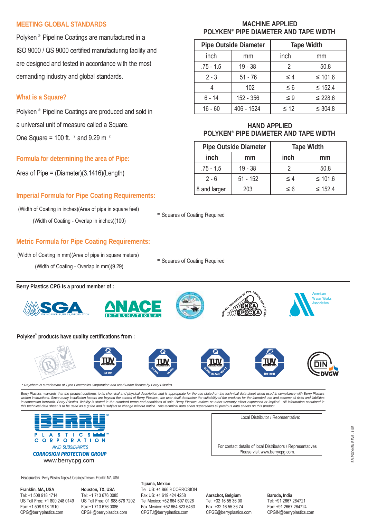#### **MEETING GLOBAL STANDARDS**

Polyken ® Pipeline Coatings are manufactured in a ISO 9000 / QS 9000 certified manufacturing facility and are designed and tested in accordance with the most demanding industry and global standards.

## **What is a Square?**

Polyken ® Pipeline Coatings are produced and sold in a universal unit of measure called a Square.

One Square = 100 ft.  $^2$  and 9.29 m  $^2$ 

#### **Formula for determining the area of Pipe:**

Area of Pipe = (Diameter)(3.1416)(Length)

## **Imperial Formula for Pipe Coating Requirements:**

(Width of Coating in inches)(Area of pipe in square feet) = Squares of Coating Required

(Width of Coating - Overlap in inches)(100)

## **MACHINE APPLIED POLYKEN® PIPE DIAMETER AND TAPE WIDTH**

| <b>Pipe Outside Diameter</b> |            | <b>Tape Width</b> |              |  |
|------------------------------|------------|-------------------|--------------|--|
| inch                         | mm         | inch              | mm           |  |
| $.75 - 1.5$                  | $19 - 38$  |                   | 50.8         |  |
| $2 - 3$                      | $51 - 76$  | $\leq 4$          | $\leq 101.6$ |  |
|                              | 102        | $\leq 6$          | $\leq 152.4$ |  |
| $6 - 14$                     | 152 - 356  | $\leq 9$          | $\leq 228.6$ |  |
| $16 - 60$                    | 406 - 1524 | $\leq 12$         | $\leq 304.8$ |  |

## **HAND APPLIED POLYKEN® PIPE DIAMETER AND TAPE WIDTH**

|              | <b>Pipe Outside Diameter</b> | <b>Tape Width</b> |              |  |
|--------------|------------------------------|-------------------|--------------|--|
| inch         | mm                           | inch              | mm           |  |
| $.75 - 1.5$  | $19 - 38$                    |                   | 50.8         |  |
| $2 - 6$      | $51 - 152$                   | $\leq 4$          | ≤ 101.6      |  |
| 8 and larger | 203                          | $\leq 6$          | $\leq$ 152.4 |  |

## **Metric Formula for Pipe Coating Requirements:**

(Width of Coating in mm) (Area of pipe in square meters)  $=$  Squares of Coating Required